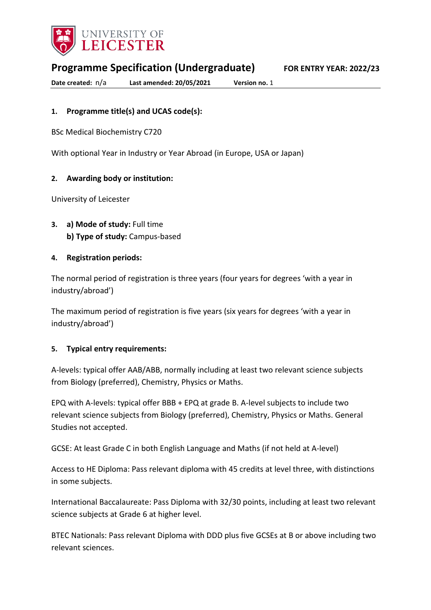

**Programme Specification (Undergraduate) FOR ENTRY YEAR: 2022/23**

**Date created:** n/a **Last amended: 20/05/2021 Version no.** 1

### **1. Programme title(s) and UCAS code(s):**

BSc Medical Biochemistry C720

With optional Year in Industry or Year Abroad (in Europe, USA or Japan)

### **2. Awarding body or institution:**

University of Leicester

**3. a) Mode of study:** Full time **b) Type of study:** Campus-based

### **4. Registration periods:**

The normal period of registration is three years (four years for degrees 'with a year in industry/abroad')

The maximum period of registration is five years (six years for degrees 'with a year in industry/abroad')

#### **5. Typical entry requirements:**

A-levels: typical offer AAB/ABB, normally including at least two relevant science subjects from Biology (preferred), Chemistry, Physics or Maths.

EPQ with A-levels: typical offer BBB + EPQ at grade B. A-level subjects to include two relevant science subjects from Biology (preferred), Chemistry, Physics or Maths. General Studies not accepted.

GCSE: At least Grade C in both English Language and Maths (if not held at A-level)

Access to HE Diploma: Pass relevant diploma with 45 credits at level three, with distinctions in some subjects.

International Baccalaureate: Pass Diploma with 32/30 points, including at least two relevant science subjects at Grade 6 at higher level.

BTEC Nationals: Pass relevant Diploma with DDD plus five GCSEs at B or above including two relevant sciences.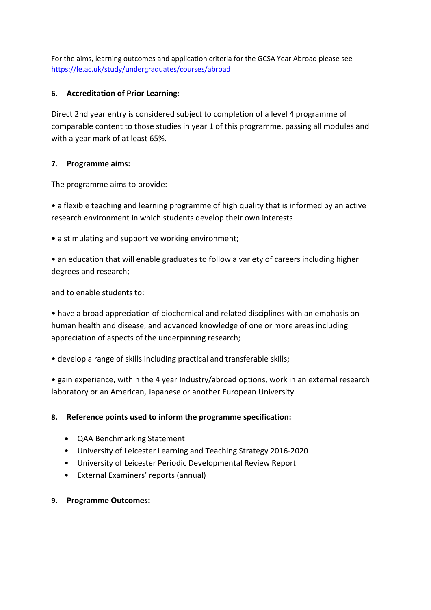For the aims, learning outcomes and application criteria for the GCSA Year Abroad please see <https://le.ac.uk/study/undergraduates/courses/abroad>

### **6. Accreditation of Prior Learning:**

Direct 2nd year entry is considered subject to completion of a level 4 programme of comparable content to those studies in year 1 of this programme, passing all modules and with a year mark of at least 65%.

### **7. Programme aims:**

The programme aims to provide:

• a flexible teaching and learning programme of high quality that is informed by an active research environment in which students develop their own interests

• a stimulating and supportive working environment;

• an education that will enable graduates to follow a variety of careers including higher degrees and research;

and to enable students to:

• have a broad appreciation of biochemical and related disciplines with an emphasis on human health and disease, and advanced knowledge of one or more areas including appreciation of aspects of the underpinning research;

• develop a range of skills including practical and transferable skills;

• gain experience, within the 4 year Industry/abroad options, work in an external research laboratory or an American, Japanese or another European University.

### **8. Reference points used to inform the programme specification:**

- QAA Benchmarking Statement
- University of Leicester Learning and Teaching Strategy 2016-2020
- University of Leicester Periodic Developmental Review Report
- External Examiners' reports (annual)

### **9. Programme Outcomes:**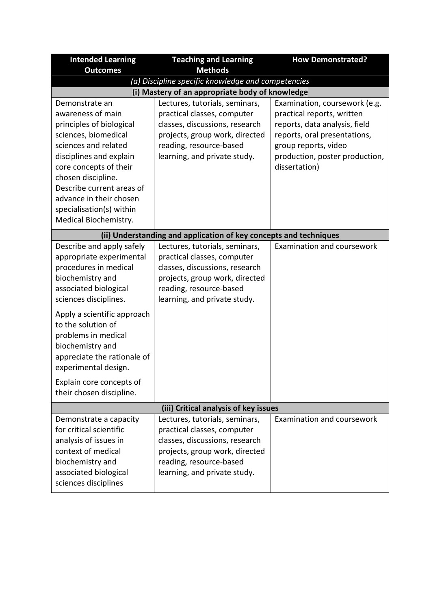| <b>Intended Learning</b>                           | <b>Teaching and Learning</b>                                      | <b>How Demonstrated?</b>       |  |
|----------------------------------------------------|-------------------------------------------------------------------|--------------------------------|--|
| <b>Outcomes</b>                                    | <b>Methods</b>                                                    |                                |  |
| (a) Discipline specific knowledge and competencies |                                                                   |                                |  |
|                                                    | (i) Mastery of an appropriate body of knowledge                   |                                |  |
| Demonstrate an                                     | Lectures, tutorials, seminars,                                    | Examination, coursework (e.g.  |  |
| awareness of main                                  | practical classes, computer                                       | practical reports, written     |  |
| principles of biological                           | classes, discussions, research                                    | reports, data analysis, field  |  |
| sciences, biomedical                               | projects, group work, directed                                    | reports, oral presentations,   |  |
| sciences and related                               | reading, resource-based                                           | group reports, video           |  |
| disciplines and explain                            | learning, and private study.                                      | production, poster production, |  |
| core concepts of their                             |                                                                   | dissertation)                  |  |
| chosen discipline.                                 |                                                                   |                                |  |
| Describe current areas of                          |                                                                   |                                |  |
| advance in their chosen                            |                                                                   |                                |  |
| specialisation(s) within                           |                                                                   |                                |  |
| Medical Biochemistry.                              |                                                                   |                                |  |
|                                                    | (ii) Understanding and application of key concepts and techniques |                                |  |
| Describe and apply safely                          | Lectures, tutorials, seminars,                                    | Examination and coursework     |  |
| appropriate experimental                           | practical classes, computer                                       |                                |  |
| procedures in medical                              | classes, discussions, research                                    |                                |  |
| biochemistry and                                   | projects, group work, directed                                    |                                |  |
| associated biological                              | reading, resource-based                                           |                                |  |
| sciences disciplines.                              | learning, and private study.                                      |                                |  |
| Apply a scientific approach                        |                                                                   |                                |  |
| to the solution of                                 |                                                                   |                                |  |
| problems in medical                                |                                                                   |                                |  |
| biochemistry and                                   |                                                                   |                                |  |
| appreciate the rationale of                        |                                                                   |                                |  |
| experimental design.                               |                                                                   |                                |  |
| Explain core concepts of                           |                                                                   |                                |  |
| their chosen discipline.                           |                                                                   |                                |  |
| (iii) Critical analysis of key issues              |                                                                   |                                |  |
| Demonstrate a capacity                             | Lectures, tutorials, seminars,                                    | Examination and coursework     |  |
| for critical scientific                            | practical classes, computer                                       |                                |  |
| analysis of issues in                              | classes, discussions, research                                    |                                |  |
| context of medical                                 | projects, group work, directed                                    |                                |  |
| biochemistry and                                   | reading, resource-based                                           |                                |  |
| associated biological                              | learning, and private study.                                      |                                |  |
| sciences disciplines                               |                                                                   |                                |  |
|                                                    |                                                                   |                                |  |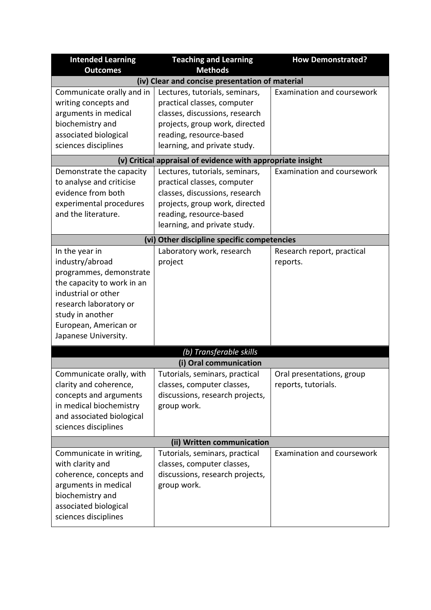| <b>Intended Learning</b>                    | <b>Teaching and Learning</b>                                | <b>How Demonstrated?</b>   |  |
|---------------------------------------------|-------------------------------------------------------------|----------------------------|--|
| <b>Outcomes</b>                             | <b>Methods</b>                                              |                            |  |
|                                             | (iv) Clear and concise presentation of material             |                            |  |
| Communicate orally and in                   | Lectures, tutorials, seminars,                              | Examination and coursework |  |
| writing concepts and                        | practical classes, computer                                 |                            |  |
| arguments in medical                        | classes, discussions, research                              |                            |  |
| biochemistry and                            | projects, group work, directed                              |                            |  |
| associated biological                       | reading, resource-based                                     |                            |  |
| sciences disciplines                        | learning, and private study.                                |                            |  |
|                                             | (v) Critical appraisal of evidence with appropriate insight |                            |  |
| Demonstrate the capacity                    | Lectures, tutorials, seminars,                              | Examination and coursework |  |
| to analyse and criticise                    | practical classes, computer                                 |                            |  |
| evidence from both                          | classes, discussions, research                              |                            |  |
| experimental procedures                     | projects, group work, directed                              |                            |  |
| and the literature.                         | reading, resource-based                                     |                            |  |
|                                             | learning, and private study.                                |                            |  |
| (vi) Other discipline specific competencies |                                                             |                            |  |
| In the year in                              | Laboratory work, research                                   | Research report, practical |  |
| industry/abroad                             | project                                                     | reports.                   |  |
| programmes, demonstrate                     |                                                             |                            |  |
| the capacity to work in an                  |                                                             |                            |  |
| industrial or other                         |                                                             |                            |  |
| research laboratory or                      |                                                             |                            |  |
| study in another                            |                                                             |                            |  |
| European, American or                       |                                                             |                            |  |
| Japanese University.                        |                                                             |                            |  |
|                                             | (b) Transferable skills                                     |                            |  |
| (i) Oral communication                      |                                                             |                            |  |
| Communicate orally, with                    | Tutorials, seminars, practical                              | Oral presentations, group  |  |
| clarity and coherence,                      | classes, computer classes,                                  | reports, tutorials.        |  |
| concepts and arguments                      | discussions, research projects,                             |                            |  |
| in medical biochemistry                     | group work.                                                 |                            |  |
| and associated biological                   |                                                             |                            |  |
| sciences disciplines                        |                                                             |                            |  |
|                                             | (ii) Written communication                                  |                            |  |
| Communicate in writing,                     | Tutorials, seminars, practical                              | Examination and coursework |  |
| with clarity and                            | classes, computer classes,                                  |                            |  |
| coherence, concepts and                     | discussions, research projects,                             |                            |  |
| arguments in medical                        | group work.                                                 |                            |  |
| biochemistry and                            |                                                             |                            |  |
| associated biological                       |                                                             |                            |  |
| sciences disciplines                        |                                                             |                            |  |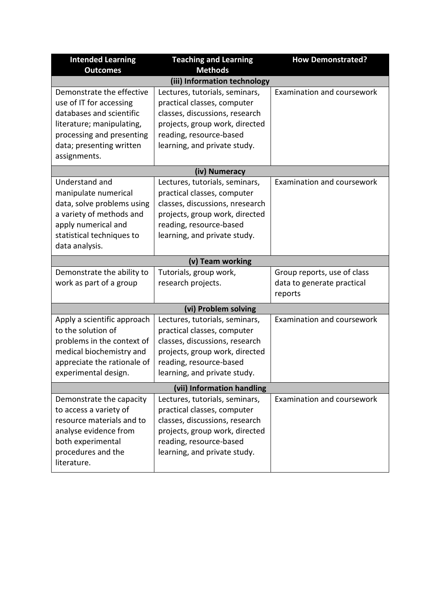| <b>Intended Learning</b>                                                                                                                                                               | <b>Teaching and Learning</b><br><b>Methods</b>                                                                                                                                                                               | <b>How Demonstrated?</b>                                             |  |
|----------------------------------------------------------------------------------------------------------------------------------------------------------------------------------------|------------------------------------------------------------------------------------------------------------------------------------------------------------------------------------------------------------------------------|----------------------------------------------------------------------|--|
| <b>Outcomes</b>                                                                                                                                                                        |                                                                                                                                                                                                                              |                                                                      |  |
| Demonstrate the effective<br>use of IT for accessing<br>databases and scientific<br>literature; manipulating,<br>processing and presenting<br>data; presenting written<br>assignments. | (iii) Information technology<br>Lectures, tutorials, seminars,<br>practical classes, computer<br>classes, discussions, research<br>projects, group work, directed<br>reading, resource-based<br>learning, and private study. | Examination and coursework                                           |  |
|                                                                                                                                                                                        | (iv) Numeracy                                                                                                                                                                                                                |                                                                      |  |
| Understand and<br>manipulate numerical<br>data, solve problems using<br>a variety of methods and<br>apply numerical and<br>statistical techniques to<br>data analysis.                 | Lectures, tutorials, seminars,<br>practical classes, computer<br>classes, discussions, nresearch<br>projects, group work, directed<br>reading, resource-based<br>learning, and private study.                                | Examination and coursework                                           |  |
|                                                                                                                                                                                        | (v) Team working                                                                                                                                                                                                             |                                                                      |  |
| Demonstrate the ability to<br>work as part of a group                                                                                                                                  | Tutorials, group work,<br>research projects.                                                                                                                                                                                 | Group reports, use of class<br>data to generate practical<br>reports |  |
| (vi) Problem solving                                                                                                                                                                   |                                                                                                                                                                                                                              |                                                                      |  |
| Apply a scientific approach<br>to the solution of<br>problems in the context of<br>medical biochemistry and<br>appreciate the rationale of<br>experimental design.                     | Lectures, tutorials, seminars,<br>practical classes, computer<br>classes, discussions, research<br>projects, group work, directed<br>reading, resource-based<br>learning, and private study.                                 | Examination and coursework                                           |  |
| (vii) Information handling                                                                                                                                                             |                                                                                                                                                                                                                              |                                                                      |  |
| Demonstrate the capacity<br>to access a variety of<br>resource materials and to<br>analyse evidence from<br>both experimental<br>procedures and the<br>literature.                     | Lectures, tutorials, seminars,<br>practical classes, computer<br>classes, discussions, research<br>projects, group work, directed<br>reading, resource-based<br>learning, and private study.                                 | Examination and coursework                                           |  |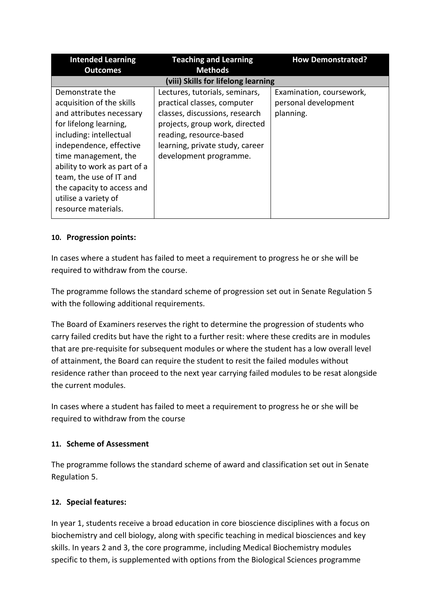| <b>Intended Learning</b>                                                                                                                                                                                                                                                                                                 | <b>Teaching and Learning</b>                                                                                                                                                                                              | <b>How Demonstrated?</b>                                      |
|--------------------------------------------------------------------------------------------------------------------------------------------------------------------------------------------------------------------------------------------------------------------------------------------------------------------------|---------------------------------------------------------------------------------------------------------------------------------------------------------------------------------------------------------------------------|---------------------------------------------------------------|
| <b>Outcomes</b>                                                                                                                                                                                                                                                                                                          | <b>Methods</b>                                                                                                                                                                                                            |                                                               |
| (viii) Skills for lifelong learning                                                                                                                                                                                                                                                                                      |                                                                                                                                                                                                                           |                                                               |
| Demonstrate the<br>acquisition of the skills<br>and attributes necessary<br>for lifelong learning,<br>including: intellectual<br>independence, effective<br>time management, the<br>ability to work as part of a<br>team, the use of IT and<br>the capacity to access and<br>utilise a variety of<br>resource materials. | Lectures, tutorials, seminars,<br>practical classes, computer<br>classes, discussions, research<br>projects, group work, directed<br>reading, resource-based<br>learning, private study, career<br>development programme. | Examination, coursework,<br>personal development<br>planning. |

# **10. Progression points:**

In cases where a student has failed to meet a requirement to progress he or she will be required to withdraw from the course.

The programme follows the standard scheme of progression set out in Senate Regulation 5 with the following additional requirements.

The Board of Examiners reserves the right to determine the progression of students who carry failed credits but have the right to a further resit: where these credits are in modules that are pre-requisite for subsequent modules or where the student has a low overall level of attainment, the Board can require the student to resit the failed modules without residence rather than proceed to the next year carrying failed modules to be resat alongside the current modules.

In cases where a student has failed to meet a requirement to progress he or she will be required to withdraw from the course

# **11. Scheme of Assessment**

The programme follows the standard scheme of award and classification set out in Senate Regulation 5.

# **12. Special features:**

In year 1, students receive a broad education in core bioscience disciplines with a focus on biochemistry and cell biology, along with specific teaching in medical biosciences and key skills. In years 2 and 3, the core programme, including Medical Biochemistry modules specific to them, is supplemented with options from the Biological Sciences programme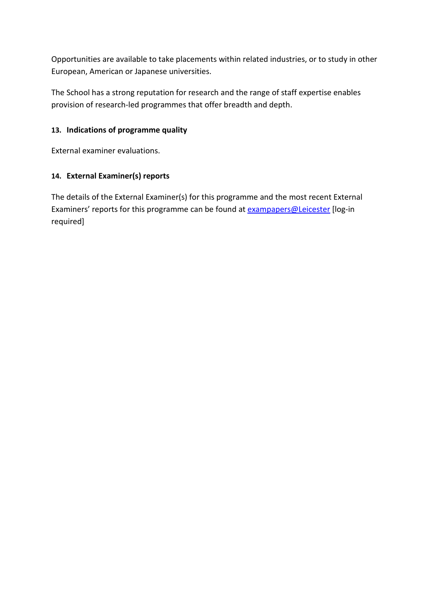Opportunities are available to take placements within related industries, or to study in other European, American or Japanese universities.

The School has a strong reputation for research and the range of staff expertise enables provision of research-led programmes that offer breadth and depth.

# **13. Indications of programme quality**

External examiner evaluations.

# **14. External Examiner(s) reports**

The details of the External Examiner(s) for this programme and the most recent External Examiners' reports for this programme can be found at **exampapers@Leicester** [log-in required]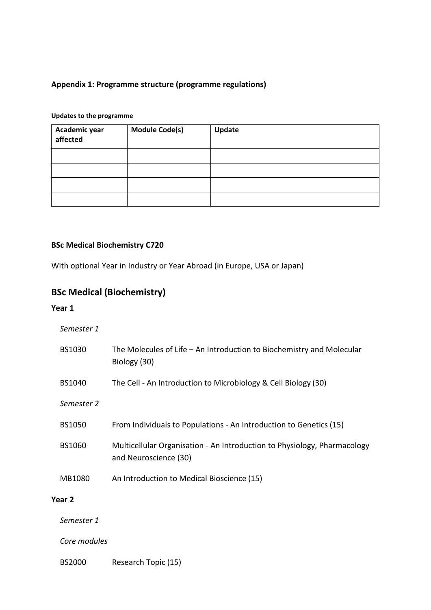# **Appendix 1: Programme structure (programme regulations)**

#### **Updates to the programme**

| Academic year<br>affected | <b>Module Code(s)</b> | Update |
|---------------------------|-----------------------|--------|
|                           |                       |        |
|                           |                       |        |
|                           |                       |        |
|                           |                       |        |

# **BSc Medical Biochemistry C720**

With optional Year in Industry or Year Abroad (in Europe, USA or Japan)

# **BSc Medical (Biochemistry)**

#### **Year 1**

#### *Semester 1*

| BS1030        | The Molecules of Life $-$ An Introduction to Biochemistry and Molecular<br>Biology (30)           |
|---------------|---------------------------------------------------------------------------------------------------|
| BS1040        | The Cell - An Introduction to Microbiology & Cell Biology (30)                                    |
| Semester 2    |                                                                                                   |
| <b>BS1050</b> | From Individuals to Populations - An Introduction to Genetics (15)                                |
| BS1060        | Multicellular Organisation - An Introduction to Physiology, Pharmacology<br>and Neuroscience (30) |
| MB1080        | An Introduction to Medical Bioscience (15)                                                        |
| Year 2        |                                                                                                   |
| Semester 1    |                                                                                                   |

*Core modules*

BS2000 Research Topic (15)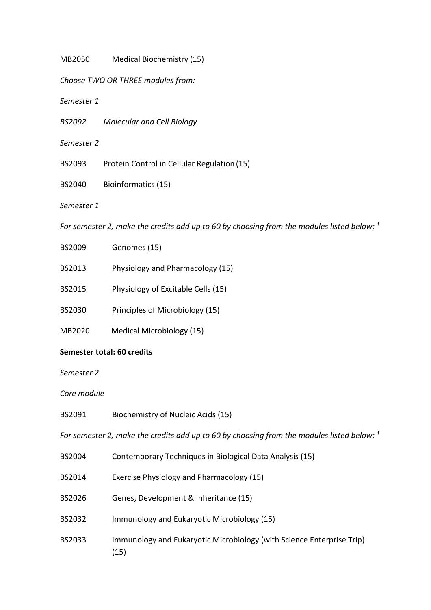MB2050 Medical Biochemistry (15)

*Choose TWO OR THREE modules from:*

*Semester 1*

*BS2092 Molecular and Cell Biology*

*Semester 2*

BS2093 Protein Control in Cellular Regulation (15)

BS2040 Bioinformatics (15)

*Semester 1*

*For semester 2, make the credits add up to 60 by choosing from the modules listed below: 1*

- BS2009 Genomes (15)
- BS2013 Physiology and Pharmacology (15)
- BS2015 Physiology of Excitable Cells (15)
- BS2030 Principles of Microbiology (15)
- MB2020 Medical Microbiology (15)

#### **Semester total: 60 credits**

*Semester 2*

*Core module*

BS2091 Biochemistry of Nucleic Acids (15)

*For semester 2, make the credits add up to 60 by choosing from the modules listed below: 1*

- BS2004 Contemporary Techniques in Biological Data Analysis (15)
- BS2014 Exercise Physiology and Pharmacology (15)
- BS2026 Genes, Development & Inheritance (15)
- BS2032 Immunology and Eukaryotic Microbiology (15)
- BS2033 Immunology and Eukaryotic Microbiology (with Science Enterprise Trip) (15)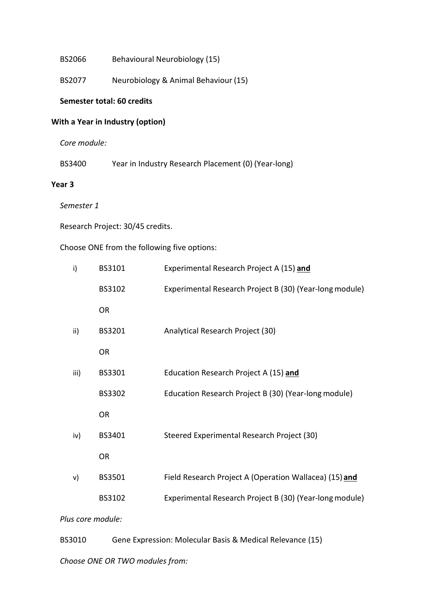BS2066 Behavioural Neurobiology (15)

BS2077 Neurobiology & Animal Behaviour (15)

### **Semester total: 60 credits**

#### **With a Year in Industry (option)**

*Core module:*

BS3400 Year in Industry Research Placement (0) (Year-long)

#### **Year 3**

*Semester 1*

Research Project: 30/45 credits.

## Choose ONE from the following five options:

|                   | i)   | BS3101    | Experimental Research Project A (15) and                |
|-------------------|------|-----------|---------------------------------------------------------|
|                   |      | BS3102    | Experimental Research Project B (30) (Year-long module) |
|                   |      | <b>OR</b> |                                                         |
|                   | ii)  | BS3201    | Analytical Research Project (30)                        |
|                   |      | <b>OR</b> |                                                         |
|                   | iii) | BS3301    | Education Research Project A (15) and                   |
|                   |      | BS3302    | Education Research Project B (30) (Year-long module)    |
|                   |      | <b>OR</b> |                                                         |
|                   | iv)  | BS3401    | Steered Experimental Research Project (30)              |
|                   |      | <b>OR</b> |                                                         |
|                   | v)   | BS3501    | Field Research Project A (Operation Wallacea) (15) and  |
|                   |      | BS3102    | Experimental Research Project B (30) (Year-long module) |
| Plus core module: |      |           |                                                         |

BS3010 Gene Expression: Molecular Basis & Medical Relevance (15)

*Choose ONE OR TWO modules from:*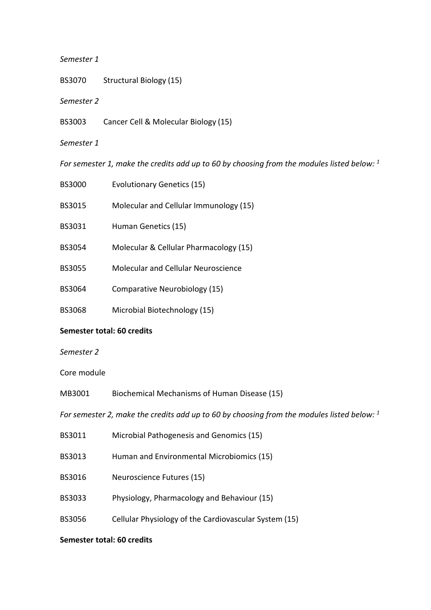#### *Semester 1*

- BS3070 Structural Biology (15)
- *Semester 2*
- BS3003 Cancer Cell & Molecular Biology (15)
- *Semester 1*

*For semester 1, make the credits add up to 60 by choosing from the modules listed below: 1*

| <b>BS3000</b>              | <b>Evolutionary Genetics (15)</b>                                                            |  |
|----------------------------|----------------------------------------------------------------------------------------------|--|
| <b>BS3015</b>              | Molecular and Cellular Immunology (15)                                                       |  |
| BS3031                     | Human Genetics (15)                                                                          |  |
| <b>BS3054</b>              | Molecular & Cellular Pharmacology (15)                                                       |  |
| <b>BS3055</b>              | <b>Molecular and Cellular Neuroscience</b>                                                   |  |
| <b>BS3064</b>              | Comparative Neurobiology (15)                                                                |  |
| <b>BS3068</b>              | Microbial Biotechnology (15)                                                                 |  |
| Semester total: 60 credits |                                                                                              |  |
| Semester 2                 |                                                                                              |  |
| Core module                |                                                                                              |  |
| MB3001                     | Biochemical Mechanisms of Human Disease (15)                                                 |  |
|                            | For semester 2, make the credits add up to 60 by choosing from the modules listed below: $1$ |  |
| BS3011                     | Microbial Pathogenesis and Genomics (15)                                                     |  |
| BS3013                     | Human and Environmental Microbiomics (15)                                                    |  |

- 
- BS3016 Neuroscience Futures (15)
- BS3033 Physiology, Pharmacology and Behaviour (15)
- BS3056 Cellular Physiology of the Cardiovascular System (15)

#### **Semester total: 60 credits**